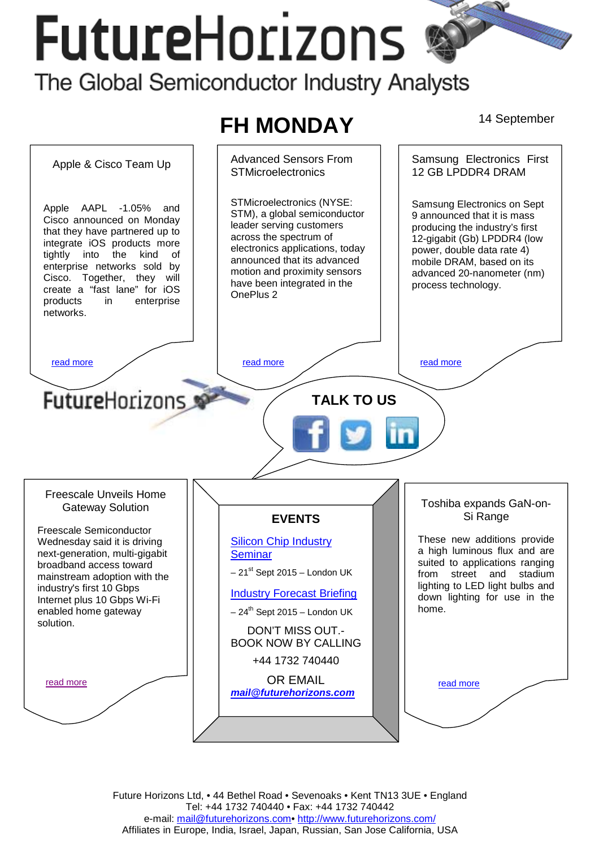# **FutureHorizons** The Global Semiconductor Industry Analysts



Future Horizons Ltd, • 44 Bethel Road • Sevenoaks • Kent TN13 3UE • England Tel: +44 1732 740440 • Fax: +44 1732 740442 e-mail: mail@futurehorizons.com• http://www.futurehorizons.com/ Affiliates in Europe, India, Israel, Japan, Russian, San Jose California, USA